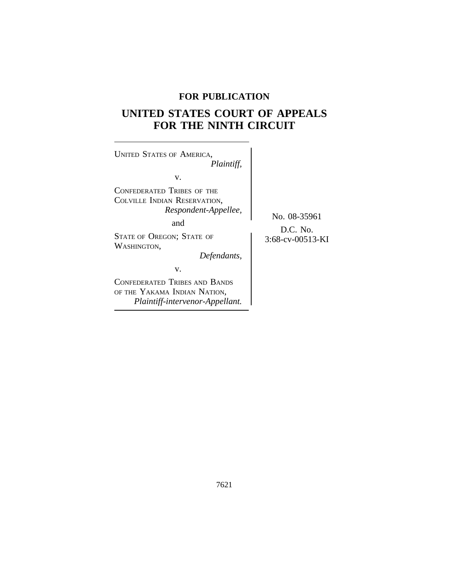## **FOR PUBLICATION**

# **UNITED STATES COURT OF APPEALS FOR THE NINTH CIRCUIT**

 $\overline{\phantom{a}}$ 

| <b>UNITED STATES OF AMERICA,</b><br>Plaintiff,                                                   |                                              |
|--------------------------------------------------------------------------------------------------|----------------------------------------------|
| V.<br>CONFEDERATED TRIBES OF THE<br>COLVILLE INDIAN RESERVATION,<br>Respondent-Appellee,<br>and  | No. 08-35961<br>D.C. No.<br>3:68-cv-00513-KI |
| <b>STATE OF OREGON; STATE OF</b><br>WASHINGTON.<br>Defendants,<br>V.                             |                                              |
| CONFEDERATED TRIBES AND BANDS<br>OF THE YAKAMA INDIAN NATION,<br>Plaintiff-intervenor-Appellant. |                                              |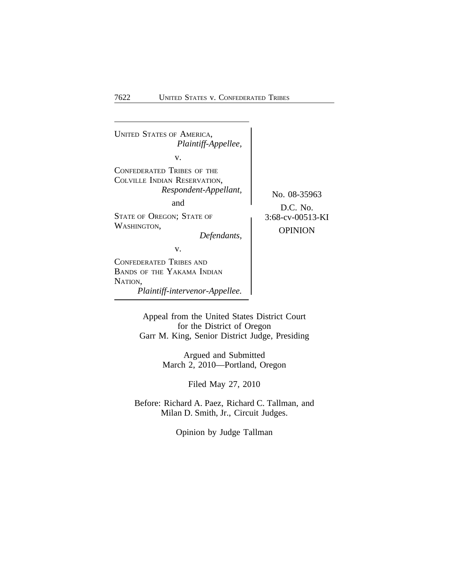

Appeal from the United States District Court for the District of Oregon Garr M. King, Senior District Judge, Presiding

> Argued and Submitted March 2, 2010—Portland, Oregon

> > Filed May 27, 2010

Before: Richard A. Paez, Richard C. Tallman, and Milan D. Smith, Jr., Circuit Judges.

Opinion by Judge Tallman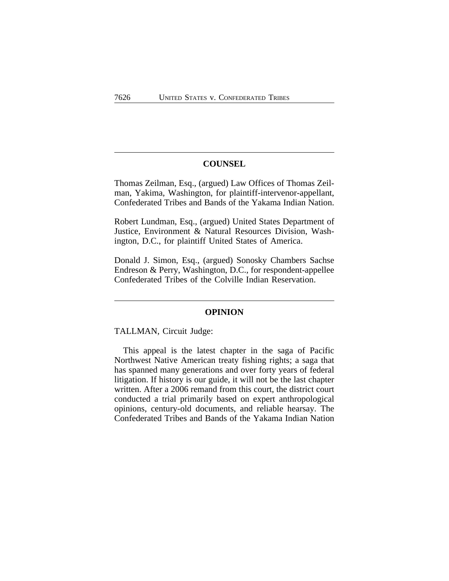#### **COUNSEL**

Thomas Zeilman, Esq., (argued) Law Offices of Thomas Zeilman, Yakima, Washington, for plaintiff-intervenor-appellant, Confederated Tribes and Bands of the Yakama Indian Nation.

Robert Lundman, Esq., (argued) United States Department of Justice, Environment & Natural Resources Division, Washington, D.C., for plaintiff United States of America.

Donald J. Simon, Esq., (argued) Sonosky Chambers Sachse Endreson & Perry, Washington, D.C., for respondent-appellee Confederated Tribes of the Colville Indian Reservation.

#### **OPINION**

TALLMAN, Circuit Judge:

This appeal is the latest chapter in the saga of Pacific Northwest Native American treaty fishing rights; a saga that has spanned many generations and over forty years of federal litigation. If history is our guide, it will not be the last chapter written. After a 2006 remand from this court, the district court conducted a trial primarily based on expert anthropological opinions, century-old documents, and reliable hearsay. The Confederated Tribes and Bands of the Yakama Indian Nation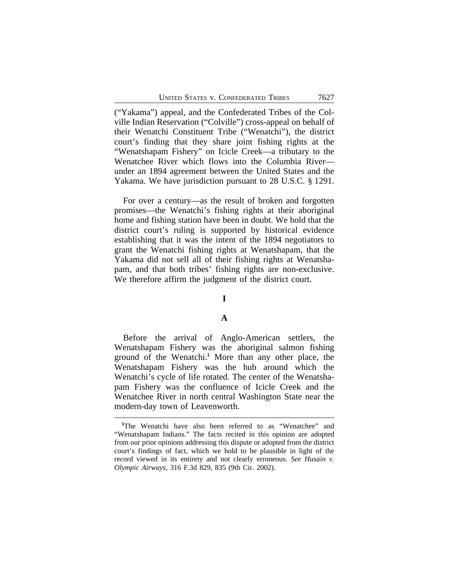("Yakama") appeal, and the Confederated Tribes of the Colville Indian Reservation ("Colville") cross-appeal on behalf of their Wenatchi Constituent Tribe ("Wenatchi"), the district court's finding that they share joint fishing rights at the "Wenatshapam Fishery" on Icicle Creek—a tributary to the Wenatchee River which flows into the Columbia River under an 1894 agreement between the United States and the Yakama. We have jurisdiction pursuant to 28 U.S.C. § 1291.

For over a century—as the result of broken and forgotten promises—the Wenatchi's fishing rights at their aboriginal home and fishing station have been in doubt. We hold that the district court's ruling is supported by historical evidence establishing that it was the intent of the 1894 negotiators to grant the Wenatchi fishing rights at Wenatshapam, that the Yakama did not sell all of their fishing rights at Wenatshapam, and that both tribes' fishing rights are non-exclusive. We therefore affirm the judgment of the district court.

## **I**

## **A**

Before the arrival of Anglo-American settlers, the Wenatshapam Fishery was the aboriginal salmon fishing ground of the Wenatchi.**<sup>1</sup>** More than any other place, the Wenatshapam Fishery was the hub around which the Wenatchi's cycle of life rotated. The center of the Wenatshapam Fishery was the confluence of Icicle Creek and the Wenatchee River in north central Washington State near the modern-day town of Leavenworth.

<sup>&</sup>lt;sup>1</sup>The Wenatchi have also been referred to as "Wenatchee" and "Wenatshapam Indians." The facts recited in this opinion are adopted from our prior opinions addressing this dispute or adopted from the district court's findings of fact, which we hold to be plausible in light of the record viewed in its entirety and not clearly erroneous. *See Husain v. Olympic Airways*, 316 F.3d 829, 835 (9th Cir. 2002).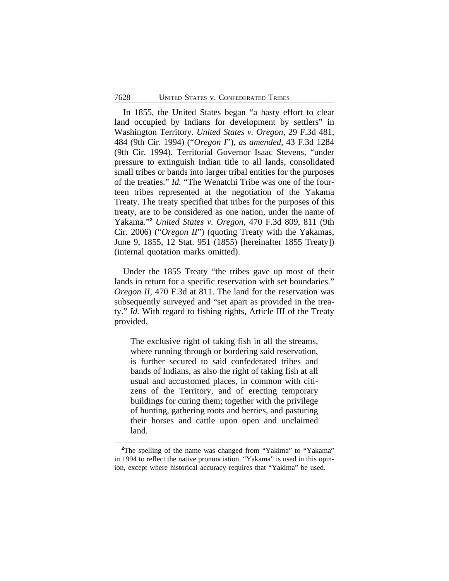In 1855, the United States began "a hasty effort to clear land occupied by Indians for development by settlers" in Washington Territory. *United States v. Oregon*, 29 F.3d 481, 484 (9th Cir. 1994) ("*Oregon I*"), *as amended*, 43 F.3d 1284 (9th Cir. 1994). Territorial Governor Isaac Stevens, "under pressure to extinguish Indian title to all lands, consolidated small tribes or bands into larger tribal entities for the purposes of the treaties." *Id.* "The Wenatchi Tribe was one of the fourteen tribes represented at the negotiation of the Yakama Treaty. The treaty specified that tribes for the purposes of this treaty, are to be considered as one nation, under the name of Yakama." **<sup>2</sup>** *United States v. Oregon*, 470 F.3d 809, 811 (9th Cir. 2006) ("*Oregon II*") (quoting Treaty with the Yakamas, June 9, 1855, 12 Stat. 951 (1855) [hereinafter 1855 Treaty]) (internal quotation marks omitted).

Under the 1855 Treaty "the tribes gave up most of their lands in return for a specific reservation with set boundaries." *Oregon II*, 470 F.3d at 811. The land for the reservation was subsequently surveyed and "set apart as provided in the treaty." *Id.* With regard to fishing rights, Article III of the Treaty provided,

The exclusive right of taking fish in all the streams, where running through or bordering said reservation, is further secured to said confederated tribes and bands of Indians, as also the right of taking fish at all usual and accustomed places, in common with citizens of the Territory, and of erecting temporary buildings for curing them; together with the privilege of hunting, gathering roots and berries, and pasturing their horses and cattle upon open and unclaimed land.

<sup>&</sup>lt;sup>2</sup>The spelling of the name was changed from "Yakima" to "Yakama" in 1994 to reflect the native pronunciation. "Yakama" is used in this opinion, except where historical accuracy requires that "Yakima" be used.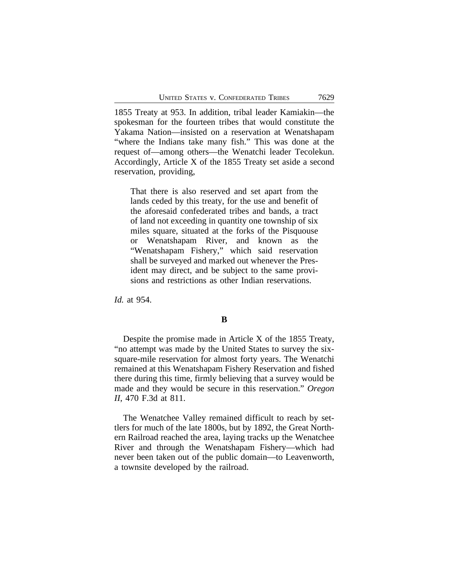1855 Treaty at 953. In addition, tribal leader Kamiakin—the spokesman for the fourteen tribes that would constitute the Yakama Nation—insisted on a reservation at Wenatshapam "where the Indians take many fish." This was done at the request of—among others—the Wenatchi leader Tecolekun. Accordingly, Article X of the 1855 Treaty set aside a second reservation, providing,

That there is also reserved and set apart from the lands ceded by this treaty, for the use and benefit of the aforesaid confederated tribes and bands, a tract of land not exceeding in quantity one township of six miles square, situated at the forks of the Pisquouse or Wenatshapam River, and known as the "Wenatshapam Fishery," which said reservation shall be surveyed and marked out whenever the President may direct, and be subject to the same provisions and restrictions as other Indian reservations.

*Id.* at 954.

## **B**

Despite the promise made in Article X of the 1855 Treaty, "no attempt was made by the United States to survey the sixsquare-mile reservation for almost forty years. The Wenatchi remained at this Wenatshapam Fishery Reservation and fished there during this time, firmly believing that a survey would be made and they would be secure in this reservation." *Oregon II*, 470 F.3d at 811.

The Wenatchee Valley remained difficult to reach by settlers for much of the late 1800s, but by 1892, the Great Northern Railroad reached the area, laying tracks up the Wenatchee River and through the Wenatshapam Fishery—which had never been taken out of the public domain—to Leavenworth, a townsite developed by the railroad.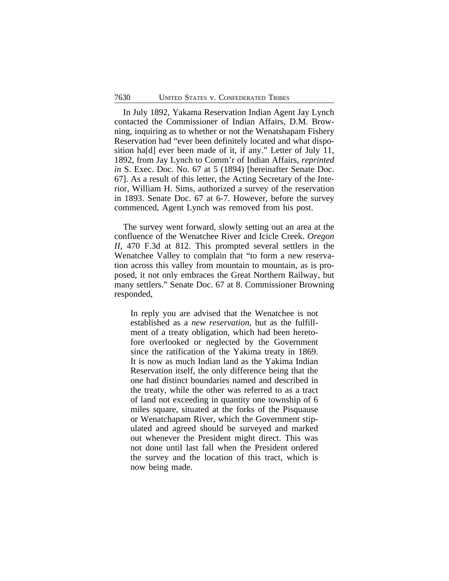In July 1892, Yakama Reservation Indian Agent Jay Lynch contacted the Commissioner of Indian Affairs, D.M. Browning, inquiring as to whether or not the Wenatshapam Fishery Reservation had "ever been definitely located and what disposition ha[d] ever been made of it, if any." Letter of July 11, 1892, from Jay Lynch to Comm'r of Indian Affairs, *reprinted in* S. Exec. Doc. No. 67 at 5 (1894) [hereinafter Senate Doc. 67]. As a result of this letter, the Acting Secretary of the Interior, William H. Sims, authorized a survey of the reservation in 1893. Senate Doc. 67 at 6-7. However, before the survey commenced, Agent Lynch was removed from his post.

The survey went forward, slowly setting out an area at the confluence of the Wenatchee River and Icicle Creek. *Oregon II*, 470 F.3d at 812. This prompted several settlers in the Wenatchee Valley to complain that "to form a new reservation across this valley from mountain to mountain, as is proposed, it not only embraces the Great Northern Railway, but many settlers." Senate Doc. 67 at 8. Commissioner Browning responded,

In reply you are advised that the Wenatchee is not established as a *new reservation*, but as the fulfillment of a treaty obligation, which had been heretofore overlooked or neglected by the Government since the ratification of the Yakima treaty in 1869. It is now as much Indian land as the Yakima Indian Reservation itself, the only difference being that the one had distinct boundaries named and described in the treaty, while the other was referred to as a tract of land not exceeding in quantity one township of 6 miles square, situated at the forks of the Pisquause or Wenatchapam River, which the Government stipulated and agreed should be surveyed and marked out whenever the President might direct. This was not done until last fall when the President ordered the survey and the location of this tract, which is now being made.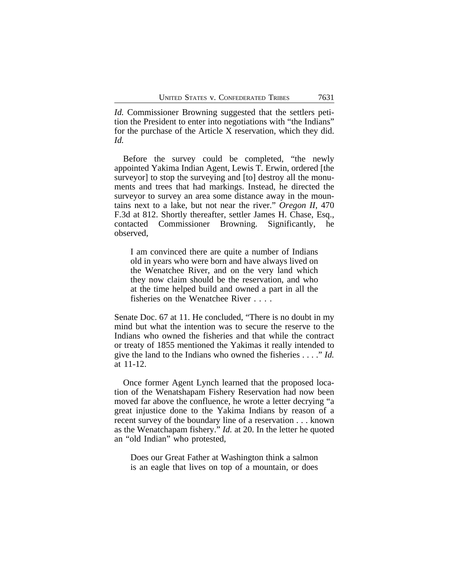*Id.* Commissioner Browning suggested that the settlers petition the President to enter into negotiations with "the Indians" for the purchase of the Article X reservation, which they did. *Id.*

Before the survey could be completed, "the newly appointed Yakima Indian Agent, Lewis T. Erwin, ordered [the surveyor] to stop the surveying and [to] destroy all the monuments and trees that had markings. Instead, he directed the surveyor to survey an area some distance away in the mountains next to a lake, but not near the river." *Oregon II*, 470 F.3d at 812. Shortly thereafter, settler James H. Chase, Esq., contacted Commissioner Browning. Significantly, he observed,

I am convinced there are quite a number of Indians old in years who were born and have always lived on the Wenatchee River, and on the very land which they now claim should be the reservation, and who at the time helped build and owned a part in all the fisheries on the Wenatchee River . . . .

Senate Doc. 67 at 11. He concluded, "There is no doubt in my mind but what the intention was to secure the reserve to the Indians who owned the fisheries and that while the contract or treaty of 1855 mentioned the Yakimas it really intended to give the land to the Indians who owned the fisheries . . . ." *Id.* at 11-12.

Once former Agent Lynch learned that the proposed location of the Wenatshapam Fishery Reservation had now been moved far above the confluence, he wrote a letter decrying "a great injustice done to the Yakima Indians by reason of a recent survey of the boundary line of a reservation . . . known as the Wenatchapam fishery." *Id.* at 20. In the letter he quoted an "old Indian" who protested,

Does our Great Father at Washington think a salmon is an eagle that lives on top of a mountain, or does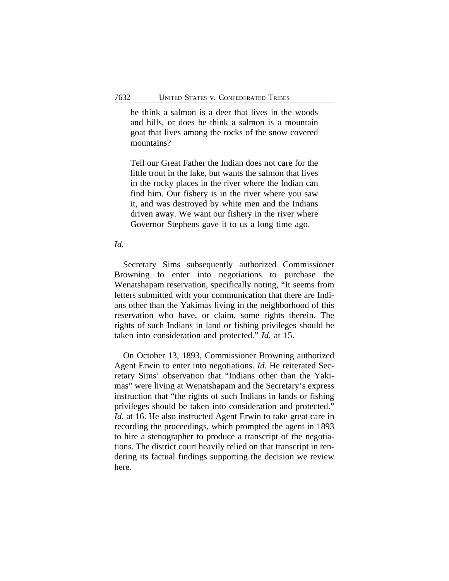he think a salmon is a deer that lives in the woods and hills, or does he think a salmon is a mountain goat that lives among the rocks of the snow covered mountains?

Tell our Great Father the Indian does not care for the little trout in the lake, but wants the salmon that lives in the rocky places in the river where the Indian can find him. Our fishery is in the river where you saw it, and was destroyed by white men and the Indians driven away. We want our fishery in the river where Governor Stephens gave it to us a long time ago.

#### *Id.*

Secretary Sims subsequently authorized Commissioner Browning to enter into negotiations to purchase the Wenatshapam reservation, specifically noting, "It seems from letters submitted with your communication that there are Indians other than the Yakimas living in the neighborhood of this reservation who have, or claim, some rights therein. The rights of such Indians in land or fishing privileges should be taken into consideration and protected." *Id.* at 15.

On October 13, 1893, Commissioner Browning authorized Agent Erwin to enter into negotiations. *Id.* He reiterated Secretary Sims' observation that "Indians other than the Yakimas" were living at Wenatshapam and the Secretary's express instruction that "the rights of such Indians in lands or fishing privileges should be taken into consideration and protected." *Id.* at 16. He also instructed Agent Erwin to take great care in recording the proceedings, which prompted the agent in 1893 to hire a stenographer to produce a transcript of the negotiations. The district court heavily relied on that transcript in rendering its factual findings supporting the decision we review here.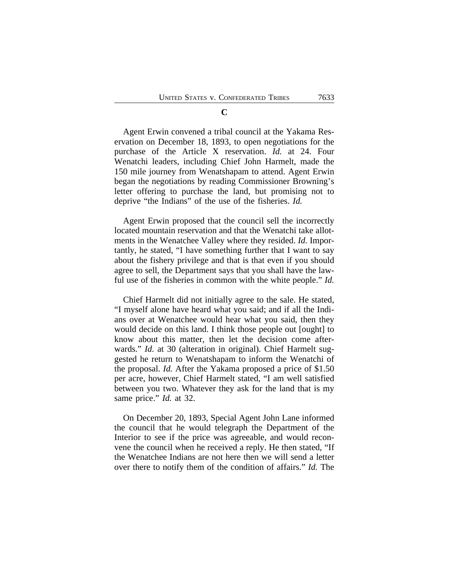Agent Erwin convened a tribal council at the Yakama Reservation on December 18, 1893, to open negotiations for the purchase of the Article X reservation. *Id.* at 24. Four Wenatchi leaders, including Chief John Harmelt, made the 150 mile journey from Wenatshapam to attend. Agent Erwin began the negotiations by reading Commissioner Browning's letter offering to purchase the land, but promising not to deprive "the Indians" of the use of the fisheries. *Id.*

Agent Erwin proposed that the council sell the incorrectly located mountain reservation and that the Wenatchi take allotments in the Wenatchee Valley where they resided. *Id.* Importantly, he stated, "I have something further that I want to say about the fishery privilege and that is that even if you should agree to sell, the Department says that you shall have the lawful use of the fisheries in common with the white people." *Id.*

Chief Harmelt did not initially agree to the sale. He stated, "I myself alone have heard what you said; and if all the Indians over at Wenatchee would hear what you said, then they would decide on this land. I think those people out [ought] to know about this matter, then let the decision come afterwards." *Id.* at 30 (alteration in original). Chief Harmelt suggested he return to Wenatshapam to inform the Wenatchi of the proposal. *Id.* After the Yakama proposed a price of \$1.50 per acre, however, Chief Harmelt stated, "I am well satisfied between you two. Whatever they ask for the land that is my same price." *Id.* at 32.

On December 20, 1893, Special Agent John Lane informed the council that he would telegraph the Department of the Interior to see if the price was agreeable, and would reconvene the council when he received a reply. He then stated, "If the Wenatchee Indians are not here then we will send a letter over there to notify them of the condition of affairs." *Id.* The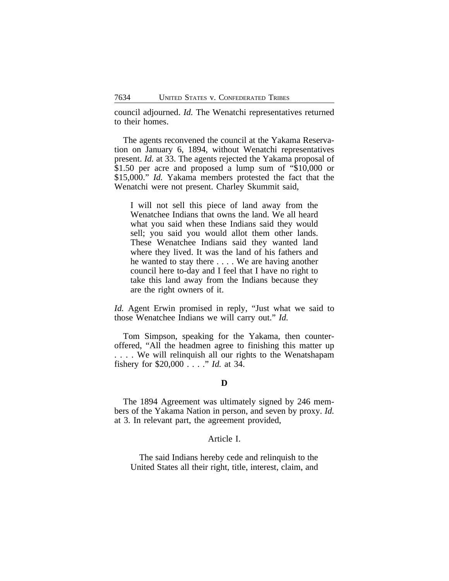council adjourned. *Id.* The Wenatchi representatives returned to their homes.

The agents reconvened the council at the Yakama Reservation on January 6, 1894, without Wenatchi representatives present. *Id.* at 33. The agents rejected the Yakama proposal of \$1.50 per acre and proposed a lump sum of "\$10,000 or \$15,000." *Id.* Yakama members protested the fact that the Wenatchi were not present. Charley Skummit said,

I will not sell this piece of land away from the Wenatchee Indians that owns the land. We all heard what you said when these Indians said they would sell; you said you would allot them other lands. These Wenatchee Indians said they wanted land where they lived. It was the land of his fathers and he wanted to stay there . . . . We are having another council here to-day and I feel that I have no right to take this land away from the Indians because they are the right owners of it.

*Id.* Agent Erwin promised in reply, "Just what we said to those Wenatchee Indians we will carry out." *Id.*

Tom Simpson, speaking for the Yakama, then counteroffered, "All the headmen agree to finishing this matter up . . . . We will relinquish all our rights to the Wenatshapam fishery for \$20,000 . . . ." *Id.* at 34.

## **D**

The 1894 Agreement was ultimately signed by 246 members of the Yakama Nation in person, and seven by proxy. *Id.* at 3. In relevant part, the agreement provided,

#### Article I.

The said Indians hereby cede and relinquish to the United States all their right, title, interest, claim, and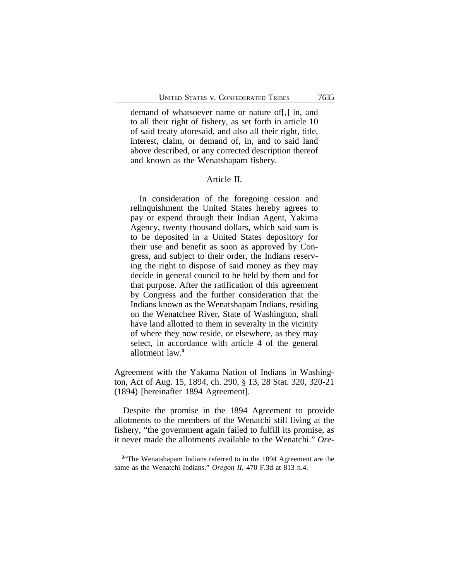demand of whatsoever name or nature of[,] in, and to all their right of fishery, as set forth in article 10 of said treaty aforesaid, and also all their right, title, interest, claim, or demand of, in, and to said land above described, or any corrected description thereof and known as the Wenatshapam fishery.

## Article II.

In consideration of the foregoing cession and relinquishment the United States hereby agrees to pay or expend through their Indian Agent, Yakima Agency, twenty thousand dollars, which said sum is to be deposited in a United States depository for their use and benefit as soon as approved by Congress, and subject to their order, the Indians reserving the right to dispose of said money as they may decide in general council to be held by them and for that purpose. After the ratification of this agreement by Congress and the further consideration that the Indians known as the Wenatshapam Indians, residing on the Wenatchee River, State of Washington, shall have land allotted to them in severalty in the vicinity of where they now reside, or elsewhere, as they may select, in accordance with article 4 of the general allotment law.**<sup>3</sup>**

Agreement with the Yakama Nation of Indians in Washington, Act of Aug. 15, 1894, ch. 290, § 13, 28 Stat. 320, 320-21 (1894) [hereinafter 1894 Agreement].

Despite the promise in the 1894 Agreement to provide allotments to the members of the Wenatchi still living at the fishery, "the government again failed to fulfill its promise, as it never made the allotments available to the Wenatchi." *Ore-*

<sup>&</sup>lt;sup>3</sup><sup>4</sup>The Wenatshapam Indians referred to in the 1894 Agreement are the same as the Wenatchi Indians." *Oregon II*, 470 F.3d at 813 n.4.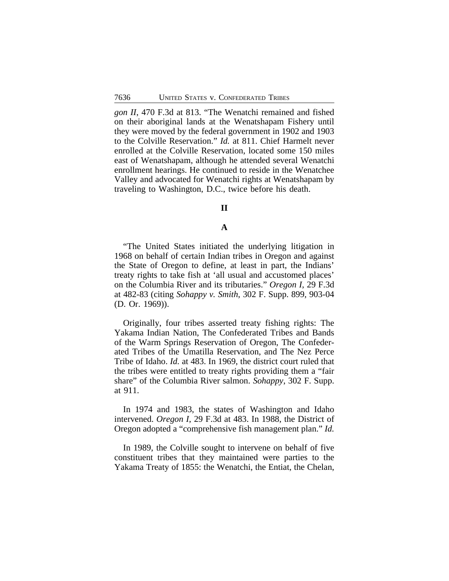*gon II*, 470 F.3d at 813. "The Wenatchi remained and fished on their aboriginal lands at the Wenatshapam Fishery until they were moved by the federal government in 1902 and 1903 to the Colville Reservation." *Id.* at 811. Chief Harmelt never enrolled at the Colville Reservation, located some 150 miles east of Wenatshapam, although he attended several Wenatchi enrollment hearings. He continued to reside in the Wenatchee Valley and advocated for Wenatchi rights at Wenatshapam by traveling to Washington, D.C., twice before his death.

#### **II**

#### **A**

"The United States initiated the underlying litigation in 1968 on behalf of certain Indian tribes in Oregon and against the State of Oregon to define, at least in part, the Indians' treaty rights to take fish at 'all usual and accustomed places' on the Columbia River and its tributaries." *Oregon I*, 29 F.3d at 482-83 (citing *Sohappy v. Smith*, 302 F. Supp. 899, 903-04 (D. Or. 1969)).

Originally, four tribes asserted treaty fishing rights: The Yakama Indian Nation, The Confederated Tribes and Bands of the Warm Springs Reservation of Oregon, The Confederated Tribes of the Umatilla Reservation, and The Nez Perce Tribe of Idaho. *Id.* at 483. In 1969, the district court ruled that the tribes were entitled to treaty rights providing them a "fair share" of the Columbia River salmon. *Sohappy*, 302 F. Supp. at 911.

In 1974 and 1983, the states of Washington and Idaho intervened. *Oregon I*, 29 F.3d at 483. In 1988, the District of Oregon adopted a "comprehensive fish management plan." *Id.*

In 1989, the Colville sought to intervene on behalf of five constituent tribes that they maintained were parties to the Yakama Treaty of 1855: the Wenatchi, the Entiat, the Chelan,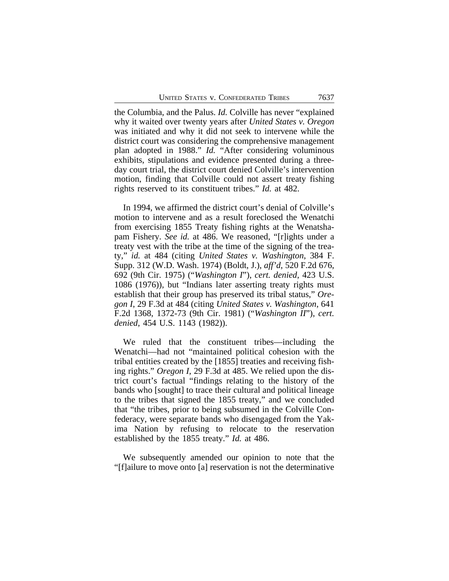the Columbia, and the Palus. *Id.* Colville has never "explained why it waited over twenty years after *United States v. Oregon* was initiated and why it did not seek to intervene while the district court was considering the comprehensive management plan adopted in 1988." *Id.* "After considering voluminous exhibits, stipulations and evidence presented during a threeday court trial, the district court denied Colville's intervention motion, finding that Colville could not assert treaty fishing rights reserved to its constituent tribes." *Id.* at 482.

In 1994, we affirmed the district court's denial of Colville's motion to intervene and as a result foreclosed the Wenatchi from exercising 1855 Treaty fishing rights at the Wenatshapam Fishery. *See id.* at 486. We reasoned, "[r]ights under a treaty vest with the tribe at the time of the signing of the treaty," *id.* at 484 (citing *United States v. Washington*, 384 F. Supp. 312 (W.D. Wash. 1974) (Boldt, J.), *aff'd*, 520 F.2d 676, 692 (9th Cir. 1975) ("*Washington I*"), *cert. denied*, 423 U.S. 1086 (1976)), but "Indians later asserting treaty rights must establish that their group has preserved its tribal status," *Oregon I*, 29 F.3d at 484 (citing *United States v. Washington*, 641 F.2d 1368, 1372-73 (9th Cir. 1981) ("*Washington II*"), *cert. denied*, 454 U.S. 1143 (1982)).

We ruled that the constituent tribes—including the Wenatchi—had not "maintained political cohesion with the tribal entities created by the [1855] treaties and receiving fishing rights." *Oregon I*, 29 F.3d at 485. We relied upon the district court's factual "findings relating to the history of the bands who [sought] to trace their cultural and political lineage to the tribes that signed the 1855 treaty," and we concluded that "the tribes, prior to being subsumed in the Colville Confederacy, were separate bands who disengaged from the Yakima Nation by refusing to relocate to the reservation established by the 1855 treaty." *Id.* at 486.

We subsequently amended our opinion to note that the "[f]ailure to move onto [a] reservation is not the determinative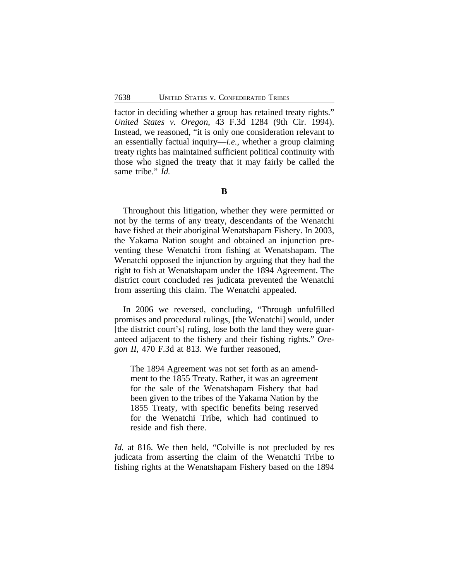factor in deciding whether a group has retained treaty rights." *United States v. Oregon*, 43 F.3d 1284 (9th Cir. 1994). Instead, we reasoned, "it is only one consideration relevant to an essentially factual inquiry—*i.e.*, whether a group claiming treaty rights has maintained sufficient political continuity with those who signed the treaty that it may fairly be called the same tribe." *Id.*

Throughout this litigation, whether they were permitted or not by the terms of any treaty, descendants of the Wenatchi have fished at their aboriginal Wenatshapam Fishery. In 2003, the Yakama Nation sought and obtained an injunction preventing these Wenatchi from fishing at Wenatshapam. The Wenatchi opposed the injunction by arguing that they had the right to fish at Wenatshapam under the 1894 Agreement. The district court concluded res judicata prevented the Wenatchi from asserting this claim. The Wenatchi appealed.

In 2006 we reversed, concluding, "Through unfulfilled promises and procedural rulings, [the Wenatchi] would, under [the district court's] ruling, lose both the land they were guaranteed adjacent to the fishery and their fishing rights." *Oregon II*, 470 F.3d at 813. We further reasoned,

The 1894 Agreement was not set forth as an amendment to the 1855 Treaty. Rather, it was an agreement for the sale of the Wenatshapam Fishery that had been given to the tribes of the Yakama Nation by the 1855 Treaty, with specific benefits being reserved for the Wenatchi Tribe, which had continued to reside and fish there.

*Id.* at 816. We then held, "Colville is not precluded by res judicata from asserting the claim of the Wenatchi Tribe to fishing rights at the Wenatshapam Fishery based on the 1894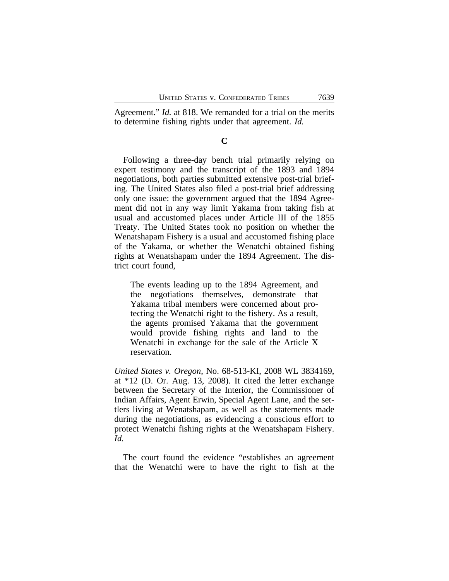Agreement." *Id.* at 818. We remanded for a trial on the merits to determine fishing rights under that agreement. *Id.*

#### **C**

Following a three-day bench trial primarily relying on expert testimony and the transcript of the 1893 and 1894 negotiations, both parties submitted extensive post-trial briefing. The United States also filed a post-trial brief addressing only one issue: the government argued that the 1894 Agreement did not in any way limit Yakama from taking fish at usual and accustomed places under Article III of the 1855 Treaty. The United States took no position on whether the Wenatshapam Fishery is a usual and accustomed fishing place of the Yakama, or whether the Wenatchi obtained fishing rights at Wenatshapam under the 1894 Agreement. The district court found,

The events leading up to the 1894 Agreement, and the negotiations themselves, demonstrate that Yakama tribal members were concerned about protecting the Wenatchi right to the fishery. As a result, the agents promised Yakama that the government would provide fishing rights and land to the Wenatchi in exchange for the sale of the Article X reservation.

*United States v. Oregon*, No. 68-513-KI, 2008 WL 3834169, at \*12 (D. Or. Aug. 13, 2008). It cited the letter exchange between the Secretary of the Interior, the Commissioner of Indian Affairs, Agent Erwin, Special Agent Lane, and the settlers living at Wenatshapam, as well as the statements made during the negotiations, as evidencing a conscious effort to protect Wenatchi fishing rights at the Wenatshapam Fishery. *Id.*

The court found the evidence "establishes an agreement that the Wenatchi were to have the right to fish at the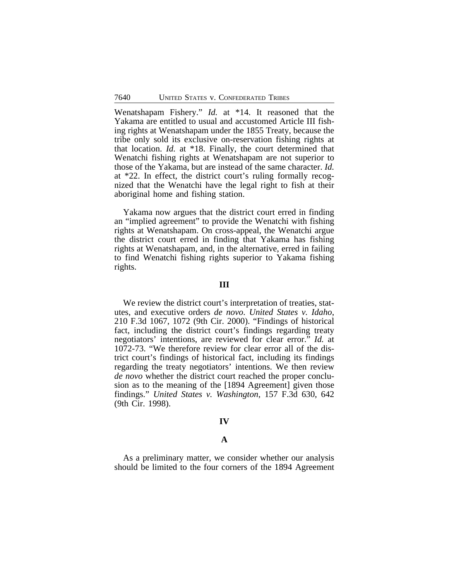Wenatshapam Fishery." *Id.* at \*14. It reasoned that the Yakama are entitled to usual and accustomed Article III fishing rights at Wenatshapam under the 1855 Treaty, because the tribe only sold its exclusive on-reservation fishing rights at that location. *Id.* at \*18. Finally, the court determined that Wenatchi fishing rights at Wenatshapam are not superior to those of the Yakama, but are instead of the same character. *Id.* at \*22. In effect, the district court's ruling formally recognized that the Wenatchi have the legal right to fish at their aboriginal home and fishing station.

Yakama now argues that the district court erred in finding an "implied agreement" to provide the Wenatchi with fishing rights at Wenatshapam. On cross-appeal, the Wenatchi argue the district court erred in finding that Yakama has fishing rights at Wenatshapam, and, in the alternative, erred in failing to find Wenatchi fishing rights superior to Yakama fishing rights.

#### **III**

We review the district court's interpretation of treaties, statutes, and executive orders *de novo*. *United States v. Idaho*, 210 F.3d 1067, 1072 (9th Cir. 2000). "Findings of historical fact, including the district court's findings regarding treaty negotiators' intentions, are reviewed for clear error." *Id.* at 1072-73. "We therefore review for clear error all of the district court's findings of historical fact, including its findings regarding the treaty negotiators' intentions. We then review *de novo* whether the district court reached the proper conclusion as to the meaning of the [1894 Agreement] given those findings." *United States v. Washington*, 157 F.3d 630, 642 (9th Cir. 1998).

## **IV**

## **A**

As a preliminary matter, we consider whether our analysis should be limited to the four corners of the 1894 Agreement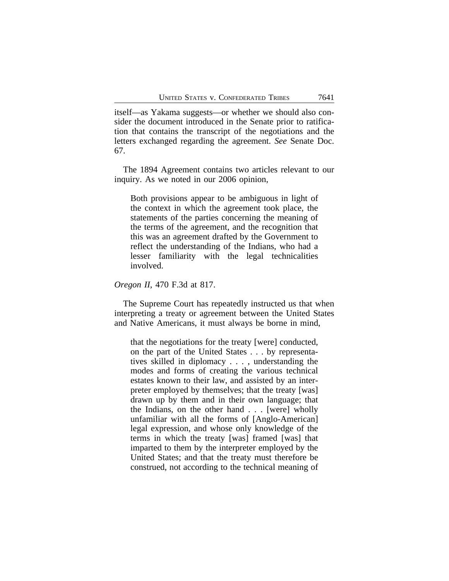itself—as Yakama suggests—or whether we should also consider the document introduced in the Senate prior to ratification that contains the transcript of the negotiations and the letters exchanged regarding the agreement. *See* Senate Doc. 67.

The 1894 Agreement contains two articles relevant to our inquiry. As we noted in our 2006 opinion,

Both provisions appear to be ambiguous in light of the context in which the agreement took place, the statements of the parties concerning the meaning of the terms of the agreement, and the recognition that this was an agreement drafted by the Government to reflect the understanding of the Indians, who had a lesser familiarity with the legal technicalities involved.

*Oregon II*, 470 F.3d at 817.

The Supreme Court has repeatedly instructed us that when interpreting a treaty or agreement between the United States and Native Americans, it must always be borne in mind,

that the negotiations for the treaty [were] conducted, on the part of the United States . . . by representatives skilled in diplomacy . . . , understanding the modes and forms of creating the various technical estates known to their law, and assisted by an interpreter employed by themselves; that the treaty [was] drawn up by them and in their own language; that the Indians, on the other hand . . . [were] wholly unfamiliar with all the forms of [Anglo-American] legal expression, and whose only knowledge of the terms in which the treaty [was] framed [was] that imparted to them by the interpreter employed by the United States; and that the treaty must therefore be construed, not according to the technical meaning of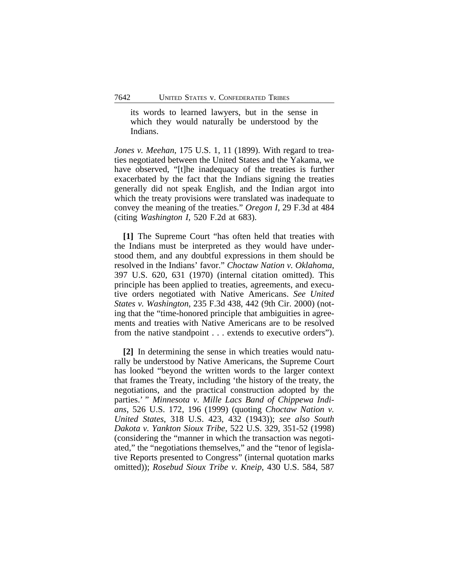its words to learned lawyers, but in the sense in which they would naturally be understood by the Indians.

*Jones v. Meehan*, 175 U.S. 1, 11 (1899). With regard to treaties negotiated between the United States and the Yakama, we have observed, "[t]he inadequacy of the treaties is further exacerbated by the fact that the Indians signing the treaties generally did not speak English, and the Indian argot into which the treaty provisions were translated was inadequate to convey the meaning of the treaties." *Oregon I*, 29 F.3d at 484 (citing *Washington I*, 520 F.2d at 683).

**[1]** The Supreme Court "has often held that treaties with the Indians must be interpreted as they would have understood them, and any doubtful expressions in them should be resolved in the Indians' favor." *Choctaw Nation v. Oklahoma*, 397 U.S. 620, 631 (1970) (internal citation omitted). This principle has been applied to treaties, agreements, and executive orders negotiated with Native Americans. *See United States v. Washington*, 235 F.3d 438, 442 (9th Cir. 2000) (noting that the "time-honored principle that ambiguities in agreements and treaties with Native Americans are to be resolved from the native standpoint . . . extends to executive orders").

**[2]** In determining the sense in which treaties would naturally be understood by Native Americans, the Supreme Court has looked "beyond the written words to the larger context that frames the Treaty, including 'the history of the treaty, the negotiations, and the practical construction adopted by the parties.' " *Minnesota v. Mille Lacs Band of Chippewa Indians*, 526 U.S. 172, 196 (1999) (quoting *Choctaw Nation v. United States*, 318 U.S. 423, 432 (1943)); *see also South Dakota v. Yankton Sioux Tribe*, 522 U.S. 329, 351-52 (1998) (considering the "manner in which the transaction was negotiated," the "negotiations themselves," and the "tenor of legislative Reports presented to Congress" (internal quotation marks omitted)); *Rosebud Sioux Tribe v. Kneip*, 430 U.S. 584, 587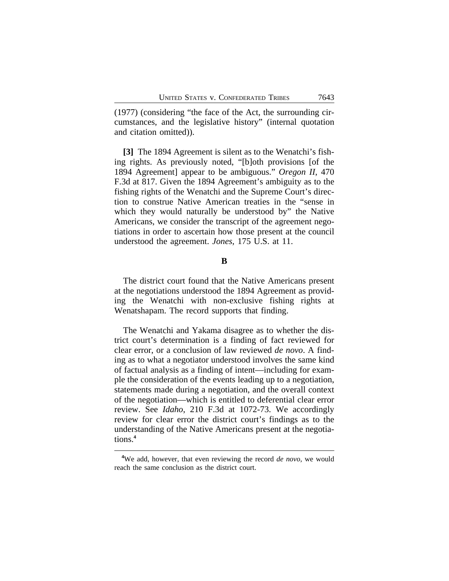(1977) (considering "the face of the Act, the surrounding circumstances, and the legislative history" (internal quotation and citation omitted)).

**[3]** The 1894 Agreement is silent as to the Wenatchi's fishing rights. As previously noted, "[b]oth provisions [of the 1894 Agreement] appear to be ambiguous." *Oregon II*, 470 F.3d at 817. Given the 1894 Agreement's ambiguity as to the fishing rights of the Wenatchi and the Supreme Court's direction to construe Native American treaties in the "sense in which they would naturally be understood by" the Native Americans, we consider the transcript of the agreement negotiations in order to ascertain how those present at the council understood the agreement. *Jones*, 175 U.S. at 11.

**B**

The district court found that the Native Americans present at the negotiations understood the 1894 Agreement as providing the Wenatchi with non-exclusive fishing rights at Wenatshapam. The record supports that finding.

The Wenatchi and Yakama disagree as to whether the district court's determination is a finding of fact reviewed for clear error, or a conclusion of law reviewed *de novo*. A finding as to what a negotiator understood involves the same kind of factual analysis as a finding of intent—including for example the consideration of the events leading up to a negotiation, statements made during a negotiation, and the overall context of the negotiation—which is entitled to deferential clear error review. See *Idaho*, 210 F.3d at 1072-73. We accordingly review for clear error the district court's findings as to the understanding of the Native Americans present at the negotiations.**<sup>4</sup>**

**<sup>4</sup>**We add, however, that even reviewing the record *de novo*, we would reach the same conclusion as the district court.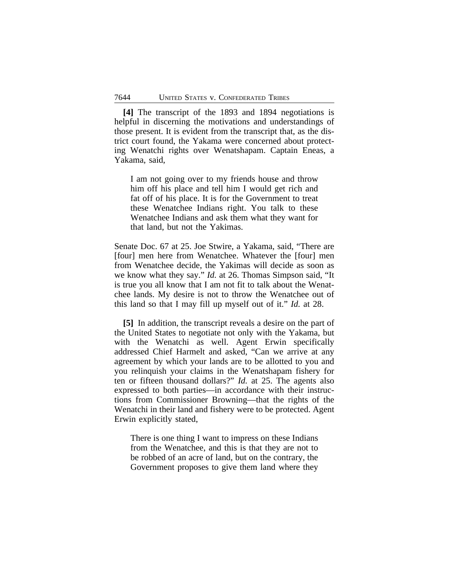**[4]** The transcript of the 1893 and 1894 negotiations is helpful in discerning the motivations and understandings of those present. It is evident from the transcript that, as the district court found, the Yakama were concerned about protecting Wenatchi rights over Wenatshapam. Captain Eneas, a Yakama, said,

I am not going over to my friends house and throw him off his place and tell him I would get rich and fat off of his place. It is for the Government to treat these Wenatchee Indians right. You talk to these Wenatchee Indians and ask them what they want for that land, but not the Yakimas.

Senate Doc. 67 at 25. Joe Stwire, a Yakama, said, "There are [four] men here from Wenatchee. Whatever the [four] men from Wenatchee decide, the Yakimas will decide as soon as we know what they say." *Id.* at 26. Thomas Simpson said, "It is true you all know that I am not fit to talk about the Wenatchee lands. My desire is not to throw the Wenatchee out of this land so that I may fill up myself out of it." *Id.* at 28.

**[5]** In addition, the transcript reveals a desire on the part of the United States to negotiate not only with the Yakama, but with the Wenatchi as well. Agent Erwin specifically addressed Chief Harmelt and asked, "Can we arrive at any agreement by which your lands are to be allotted to you and you relinquish your claims in the Wenatshapam fishery for ten or fifteen thousand dollars?" *Id.* at 25. The agents also expressed to both parties—in accordance with their instructions from Commissioner Browning—that the rights of the Wenatchi in their land and fishery were to be protected. Agent Erwin explicitly stated,

There is one thing I want to impress on these Indians from the Wenatchee, and this is that they are not to be robbed of an acre of land, but on the contrary, the Government proposes to give them land where they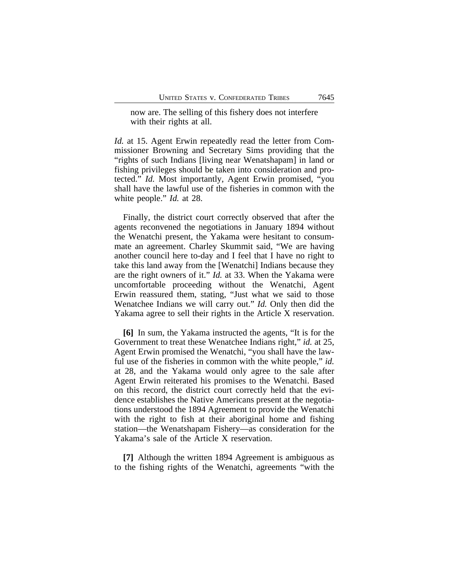now are. The selling of this fishery does not interfere with their rights at all.

*Id.* at 15. Agent Erwin repeatedly read the letter from Commissioner Browning and Secretary Sims providing that the "rights of such Indians [living near Wenatshapam] in land or fishing privileges should be taken into consideration and protected." *Id.* Most importantly, Agent Erwin promised, "you shall have the lawful use of the fisheries in common with the white people." *Id.* at 28.

Finally, the district court correctly observed that after the agents reconvened the negotiations in January 1894 without the Wenatchi present, the Yakama were hesitant to consummate an agreement. Charley Skummit said, "We are having another council here to-day and I feel that I have no right to take this land away from the [Wenatchi] Indians because they are the right owners of it." *Id.* at 33. When the Yakama were uncomfortable proceeding without the Wenatchi, Agent Erwin reassured them, stating, "Just what we said to those Wenatchee Indians we will carry out." *Id.* Only then did the Yakama agree to sell their rights in the Article X reservation.

**[6]** In sum, the Yakama instructed the agents, "It is for the Government to treat these Wenatchee Indians right," *id.* at 25, Agent Erwin promised the Wenatchi, "you shall have the lawful use of the fisheries in common with the white people," *id.* at 28, and the Yakama would only agree to the sale after Agent Erwin reiterated his promises to the Wenatchi. Based on this record, the district court correctly held that the evidence establishes the Native Americans present at the negotiations understood the 1894 Agreement to provide the Wenatchi with the right to fish at their aboriginal home and fishing station—the Wenatshapam Fishery—as consideration for the Yakama's sale of the Article X reservation.

**[7]** Although the written 1894 Agreement is ambiguous as to the fishing rights of the Wenatchi, agreements "with the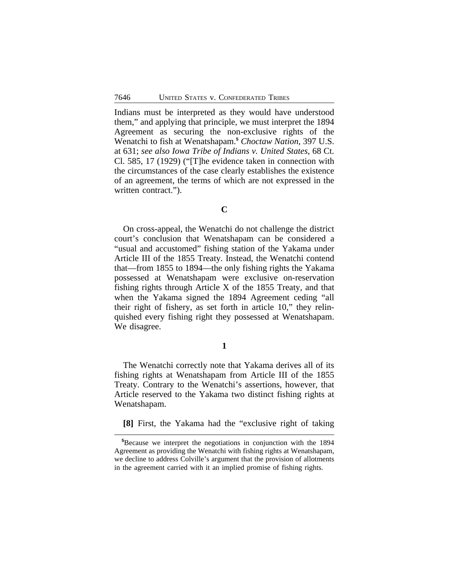Indians must be interpreted as they would have understood them," and applying that principle, we must interpret the 1894 Agreement as securing the non-exclusive rights of the Wenatchi to fish at Wenatshapam.**<sup>5</sup>** *Choctaw Nation*, 397 U.S. at 631; *see also Iowa Tribe of Indians v. United States*, 68 Ct. Cl. 585, 17 (1929) ("[T]he evidence taken in connection with the circumstances of the case clearly establishes the existence of an agreement, the terms of which are not expressed in the written contract.").

#### **C**

On cross-appeal, the Wenatchi do not challenge the district court's conclusion that Wenatshapam can be considered a "usual and accustomed" fishing station of the Yakama under Article III of the 1855 Treaty. Instead, the Wenatchi contend that—from 1855 to 1894—the only fishing rights the Yakama possessed at Wenatshapam were exclusive on-reservation fishing rights through Article X of the 1855 Treaty, and that when the Yakama signed the 1894 Agreement ceding "all their right of fishery, as set forth in article 10," they relinquished every fishing right they possessed at Wenatshapam. We disagree.

## **1**

The Wenatchi correctly note that Yakama derives all of its fishing rights at Wenatshapam from Article III of the 1855 Treaty. Contrary to the Wenatchi's assertions, however, that Article reserved to the Yakama two distinct fishing rights at Wenatshapam.

**[8]** First, the Yakama had the "exclusive right of taking

**<sup>5</sup>**Because we interpret the negotiations in conjunction with the 1894 Agreement as providing the Wenatchi with fishing rights at Wenatshapam, we decline to address Colville's argument that the provision of allotments in the agreement carried with it an implied promise of fishing rights.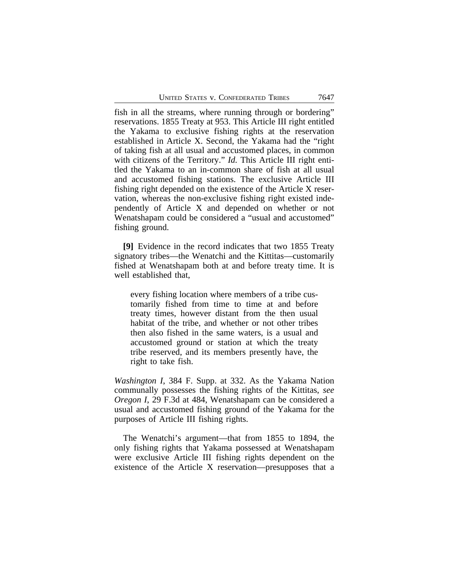fish in all the streams, where running through or bordering" reservations. 1855 Treaty at 953. This Article III right entitled the Yakama to exclusive fishing rights at the reservation established in Article X. Second, the Yakama had the "right of taking fish at all usual and accustomed places, in common with citizens of the Territory." *Id.* This Article III right entitled the Yakama to an in-common share of fish at all usual and accustomed fishing stations. The exclusive Article III fishing right depended on the existence of the Article X reservation, whereas the non-exclusive fishing right existed independently of Article X and depended on whether or not Wenatshapam could be considered a "usual and accustomed" fishing ground.

**[9]** Evidence in the record indicates that two 1855 Treaty signatory tribes—the Wenatchi and the Kittitas—customarily fished at Wenatshapam both at and before treaty time. It is well established that,

every fishing location where members of a tribe customarily fished from time to time at and before treaty times, however distant from the then usual habitat of the tribe, and whether or not other tribes then also fished in the same waters, is a usual and accustomed ground or station at which the treaty tribe reserved, and its members presently have, the right to take fish.

*Washington I*, 384 F. Supp. at 332. As the Yakama Nation communally possesses the fishing rights of the Kittitas, *see Oregon I*, 29 F.3d at 484, Wenatshapam can be considered a usual and accustomed fishing ground of the Yakama for the purposes of Article III fishing rights.

The Wenatchi's argument—that from 1855 to 1894, the only fishing rights that Yakama possessed at Wenatshapam were exclusive Article III fishing rights dependent on the existence of the Article X reservation—presupposes that a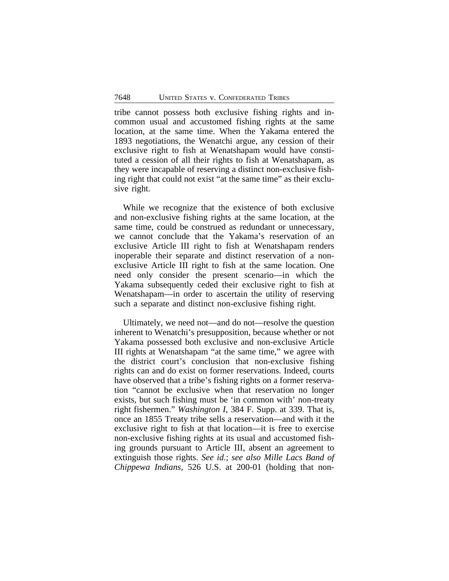tribe cannot possess both exclusive fishing rights and incommon usual and accustomed fishing rights at the same location, at the same time. When the Yakama entered the 1893 negotiations, the Wenatchi argue, any cession of their exclusive right to fish at Wenatshapam would have constituted a cession of all their rights to fish at Wenatshapam, as they were incapable of reserving a distinct non-exclusive fishing right that could not exist "at the same time" as their exclusive right.

While we recognize that the existence of both exclusive and non-exclusive fishing rights at the same location, at the same time, could be construed as redundant or unnecessary, we cannot conclude that the Yakama's reservation of an exclusive Article III right to fish at Wenatshapam renders inoperable their separate and distinct reservation of a nonexclusive Article III right to fish at the same location. One need only consider the present scenario—in which the Yakama subsequently ceded their exclusive right to fish at Wenatshapam—in order to ascertain the utility of reserving such a separate and distinct non-exclusive fishing right.

Ultimately, we need not—and do not—resolve the question inherent to Wenatchi's presupposition, because whether or not Yakama possessed both exclusive and non-exclusive Article III rights at Wenatshapam "at the same time," we agree with the district court's conclusion that non-exclusive fishing rights can and do exist on former reservations. Indeed, courts have observed that a tribe's fishing rights on a former reservation "cannot be exclusive when that reservation no longer exists, but such fishing must be 'in common with' non-treaty right fishermen." *Washington I*, 384 F. Supp. at 339. That is, once an 1855 Treaty tribe sells a reservation—and with it the exclusive right to fish at that location—it is free to exercise non-exclusive fishing rights at its usual and accustomed fishing grounds pursuant to Article III, absent an agreement to extinguish those rights. *See id.*; *see also Mille Lacs Band of Chippewa Indians*, 526 U.S. at 200-01 (holding that non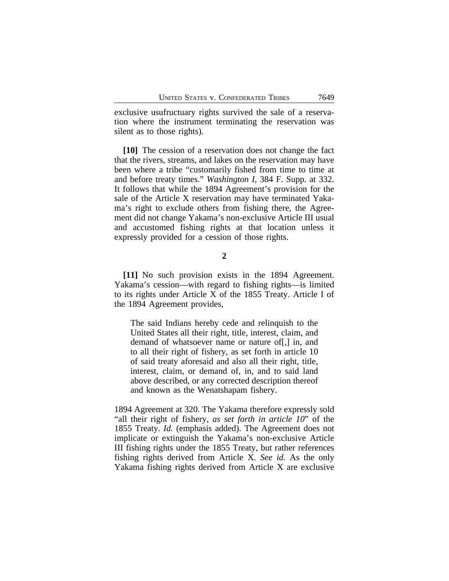exclusive usufructuary rights survived the sale of a reservation where the instrument terminating the reservation was silent as to those rights).

**[10]** The cession of a reservation does not change the fact that the rivers, streams, and lakes on the reservation may have been where a tribe "customarily fished from time to time at and before treaty times." *Washington I*, 384 F. Supp. at 332. It follows that while the 1894 Agreement's provision for the sale of the Article X reservation may have terminated Yakama's right to exclude others from fishing there, the Agreement did not change Yakama's non-exclusive Article III usual and accustomed fishing rights at that location unless it expressly provided for a cession of those rights.

**[11]** No such provision exists in the 1894 Agreement. Yakama's cession—with regard to fishing rights—is limited to its rights under Article X of the 1855 Treaty. Article I of the 1894 Agreement provides,

The said Indians hereby cede and relinquish to the United States all their right, title, interest, claim, and demand of whatsoever name or nature of[,] in, and to all their right of fishery, as set forth in article 10 of said treaty aforesaid and also all their right, title, interest, claim, or demand of, in, and to said land above described, or any corrected description thereof and known as the Wenatshapam fishery.

1894 Agreement at 320. The Yakama therefore expressly sold "all their right of fishery, *as set forth in article 10*" of the 1855 Treaty. *Id.* (emphasis added). The Agreement does not implicate or extinguish the Yakama's non-exclusive Article III fishing rights under the 1855 Treaty, but rather references fishing rights derived from Article X. *See id.* As the only Yakama fishing rights derived from Article X are exclusive

**<sup>2</sup>**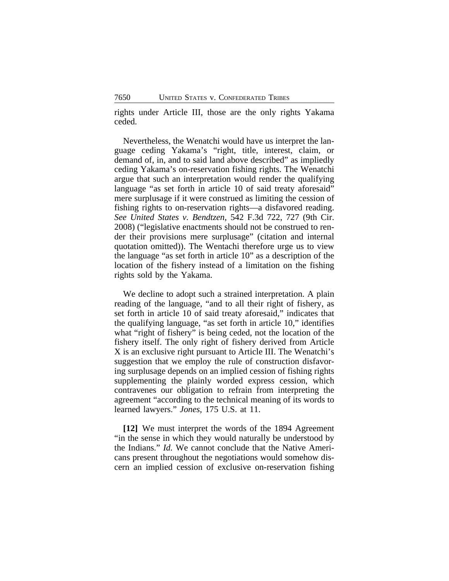rights under Article III, those are the only rights Yakama ceded.

Nevertheless, the Wenatchi would have us interpret the language ceding Yakama's "right, title, interest, claim, or demand of, in, and to said land above described" as impliedly ceding Yakama's on-reservation fishing rights. The Wenatchi argue that such an interpretation would render the qualifying language "as set forth in article 10 of said treaty aforesaid" mere surplusage if it were construed as limiting the cession of fishing rights to on-reservation rights—a disfavored reading. *See United States v. Bendtzen*, 542 F.3d 722, 727 (9th Cir. 2008) ("legislative enactments should not be construed to render their provisions mere surplusage" (citation and internal quotation omitted)). The Wentachi therefore urge us to view the language "as set forth in article 10" as a description of the location of the fishery instead of a limitation on the fishing rights sold by the Yakama.

We decline to adopt such a strained interpretation. A plain reading of the language, "and to all their right of fishery, as set forth in article 10 of said treaty aforesaid," indicates that the qualifying language, "as set forth in article 10," identifies what "right of fishery" is being ceded, not the location of the fishery itself. The only right of fishery derived from Article X is an exclusive right pursuant to Article III. The Wenatchi's suggestion that we employ the rule of construction disfavoring surplusage depends on an implied cession of fishing rights supplementing the plainly worded express cession, which contravenes our obligation to refrain from interpreting the agreement "according to the technical meaning of its words to learned lawyers." *Jones*, 175 U.S. at 11.

**[12]** We must interpret the words of the 1894 Agreement "in the sense in which they would naturally be understood by the Indians." *Id.* We cannot conclude that the Native Americans present throughout the negotiations would somehow discern an implied cession of exclusive on-reservation fishing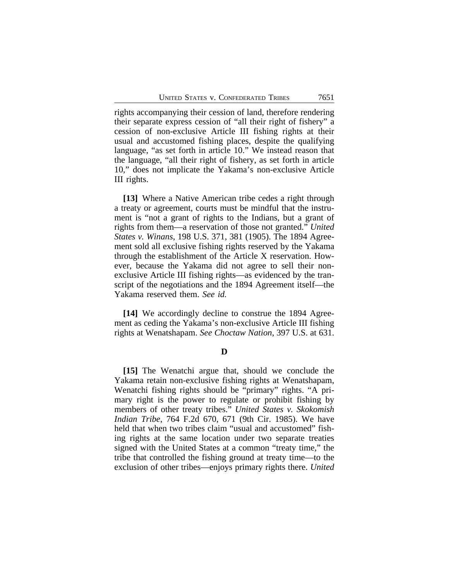rights accompanying their cession of land, therefore rendering their separate express cession of "all their right of fishery" a cession of non-exclusive Article III fishing rights at their usual and accustomed fishing places, despite the qualifying language, "as set forth in article 10." We instead reason that the language, "all their right of fishery, as set forth in article 10," does not implicate the Yakama's non-exclusive Article III rights.

**[13]** Where a Native American tribe cedes a right through a treaty or agreement, courts must be mindful that the instrument is "not a grant of rights to the Indians, but a grant of rights from them—a reservation of those not granted." *United States v. Winans*, 198 U.S. 371, 381 (1905). The 1894 Agreement sold all exclusive fishing rights reserved by the Yakama through the establishment of the Article X reservation. However, because the Yakama did not agree to sell their nonexclusive Article III fishing rights—as evidenced by the transcript of the negotiations and the 1894 Agreement itself—the Yakama reserved them. *See id.*

**[14]** We accordingly decline to construe the 1894 Agreement as ceding the Yakama's non-exclusive Article III fishing rights at Wenatshapam. *See Choctaw Nation*, 397 U.S. at 631.

#### **D**

**[15]** The Wenatchi argue that, should we conclude the Yakama retain non-exclusive fishing rights at Wenatshapam, Wenatchi fishing rights should be "primary" rights. "A primary right is the power to regulate or prohibit fishing by members of other treaty tribes." *United States v. Skokomish Indian Tribe*, 764 F.2d 670, 671 (9th Cir. 1985). We have held that when two tribes claim "usual and accustomed" fishing rights at the same location under two separate treaties signed with the United States at a common "treaty time," the tribe that controlled the fishing ground at treaty time—to the exclusion of other tribes—enjoys primary rights there. *United*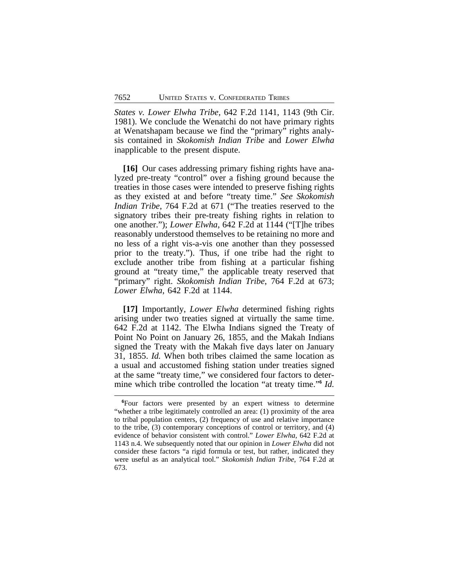*States v. Lower Elwha Tribe*, 642 F.2d 1141, 1143 (9th Cir. 1981). We conclude the Wenatchi do not have primary rights at Wenatshapam because we find the "primary" rights analysis contained in *Skokomish Indian Tribe* and *Lower Elwha* inapplicable to the present dispute.

**[16]** Our cases addressing primary fishing rights have analyzed pre-treaty "control" over a fishing ground because the treaties in those cases were intended to preserve fishing rights as they existed at and before "treaty time." *See Skokomish Indian Tribe*, 764 F.2d at 671 ("The treaties reserved to the signatory tribes their pre-treaty fishing rights in relation to one another."); *Lower Elwha*, 642 F.2d at 1144 ("[T]he tribes reasonably understood themselves to be retaining no more and no less of a right vis-a-vis one another than they possessed prior to the treaty."). Thus, if one tribe had the right to exclude another tribe from fishing at a particular fishing ground at "treaty time," the applicable treaty reserved that "primary" right. *Skokomish Indian Tribe*, 764 F.2d at 673; *Lower Elwha*, 642 F.2d at 1144.

**[17]** Importantly, *Lower Elwha* determined fishing rights arising under two treaties signed at virtually the same time. 642 F.2d at 1142. The Elwha Indians signed the Treaty of Point No Point on January 26, 1855, and the Makah Indians signed the Treaty with the Makah five days later on January 31, 1855. *Id.* When both tribes claimed the same location as a usual and accustomed fishing station under treaties signed at the same "treaty time," we considered four factors to determine which tribe controlled the location "at treaty time." **6** *Id.*

**<sup>6</sup>**Four factors were presented by an expert witness to determine "whether a tribe legitimately controlled an area: (1) proximity of the area to tribal population centers, (2) frequency of use and relative importance to the tribe, (3) contemporary conceptions of control or territory, and (4) evidence of behavior consistent with control." *Lower Elwha*, 642 F.2d at 1143 n.4. We subsequently noted that our opinion in *Lower Elwha* did not consider these factors "a rigid formula or test, but rather, indicated they were useful as an analytical tool." *Skokomish Indian Tribe*, 764 F.2d at 673.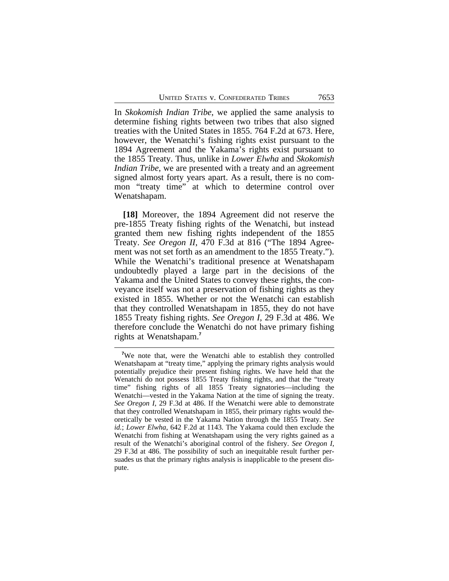In *Skokomish Indian Tribe*, we applied the same analysis to determine fishing rights between two tribes that also signed treaties with the United States in 1855. 764 F.2d at 673. Here, however, the Wenatchi's fishing rights exist pursuant to the 1894 Agreement and the Yakama's rights exist pursuant to the 1855 Treaty. Thus, unlike in *Lower Elwha* and *Skokomish Indian Tribe*, we are presented with a treaty and an agreement signed almost forty years apart. As a result, there is no common "treaty time" at which to determine control over Wenatshapam.

**[18]** Moreover, the 1894 Agreement did not reserve the pre-1855 Treaty fishing rights of the Wenatchi, but instead granted them new fishing rights independent of the 1855 Treaty. *See Oregon II*, 470 F.3d at 816 ("The 1894 Agreement was not set forth as an amendment to the 1855 Treaty."). While the Wenatchi's traditional presence at Wenatshapam undoubtedly played a large part in the decisions of the Yakama and the United States to convey these rights, the conveyance itself was not a preservation of fishing rights as they existed in 1855. Whether or not the Wenatchi can establish that they controlled Wenatshapam in 1855, they do not have 1855 Treaty fishing rights. *See Oregon I*, 29 F.3d at 486. We therefore conclude the Wenatchi do not have primary fishing rights at Wenatshapam.**<sup>7</sup>**

**<sup>7</sup>**We note that, were the Wenatchi able to establish they controlled Wenatshapam at "treaty time," applying the primary rights analysis would potentially prejudice their present fishing rights. We have held that the Wenatchi do not possess 1855 Treaty fishing rights, and that the "treaty time" fishing rights of all 1855 Treaty signatories—including the Wenatchi—vested in the Yakama Nation at the time of signing the treaty. *See Oregon I*, 29 F.3d at 486. If the Wenatchi were able to demonstrate that they controlled Wenatshapam in 1855, their primary rights would theoretically be vested in the Yakama Nation through the 1855 Treaty. *See id.*; *Lower Elwha*, 642 F.2d at 1143. The Yakama could then exclude the Wenatchi from fishing at Wenatshapam using the very rights gained as a result of the Wenatchi's aboriginal control of the fishery. *See Oregon I*, 29 F.3d at 486. The possibility of such an inequitable result further persuades us that the primary rights analysis is inapplicable to the present dispute.